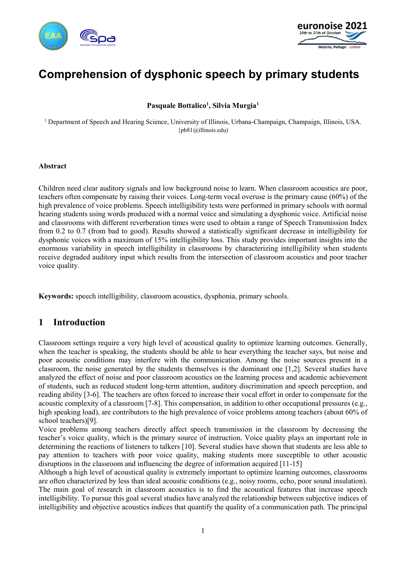



# **Comprehension of dysphonic speech by primary students**

**Pasquale Bottalico1 , Silvia Murgia1**

<sup>1</sup> Department of Speech and Hearing Science, University of Illinois, Urbana-Champaign, Champaign, Illinois, USA. {pb81@illinois.edu)

#### **Abstract**

Children need clear auditory signals and low background noise to learn. When classroom acoustics are poor, teachers often compensate by raising their voices. Long-term vocal overuse is the primary cause (60%) of the high prevalence of voice problems. Speech intelligibility tests were performed in primary schools with normal hearing students using words produced with a normal voice and simulating a dysphonic voice. Artificial noise and classrooms with different reverberation times were used to obtain a range of Speech Transmission Index from 0.2 to 0.7 (from bad to good). Results showed a statistically significant decrease in intelligibility for dysphonic voices with a maximum of 15% intelligibility loss. This study provides important insights into the enormous variability in speech intelligibility in classrooms by characterizing intelligibility when students receive degraded auditory input which results from the intersection of classroom acoustics and poor teacher voice quality.

**Keywords:** speech intelligibility, classroom acoustics, dysphonia, primary schools.

## **1 Introduction**

Classroom settings require a very high level of acoustical quality to optimize learning outcomes. Generally, when the teacher is speaking, the students should be able to hear everything the teacher says, but noise and poor acoustic conditions may interfere with the communication. Among the noise sources present in a classroom, the noise generated by the students themselves is the dominant one [1,2]. Several studies have analyzed the effect of noise and poor classroom acoustics on the learning process and academic achievement of students, such as reduced student long-term attention, auditory discrimination and speech perception, and reading ability [3-6]. The teachers are often forced to increase their vocal effort in order to compensate for the acoustic complexity of a classroom [7-8]. This compensation, in addition to other occupational pressures (e.g., high speaking load), are contributors to the high prevalence of voice problems among teachers (about 60% of school teachers)[9].

Voice problems among teachers directly affect speech transmission in the classroom by decreasing the teacher's voice quality, which is the primary source of instruction. Voice quality plays an important role in determining the reactions of listeners to talkers [10]. Several studies have shown that students are less able to pay attention to teachers with poor voice quality, making students more susceptible to other acoustic disruptions in the classroom and influencing the degree of information acquired [11-15]

Although a high level of acoustical quality is extremely important to optimize learning outcomes, classrooms are often characterized by less than ideal acoustic conditions (e.g., noisy rooms, echo, poor sound insulation). The main goal of research in classroom acoustics is to find the acoustical features that increase speech intelligibility. To pursue this goal several studies have analyzed the relationship between subjective indices of intelligibility and objective acoustics indices that quantify the quality of a communication path. The principal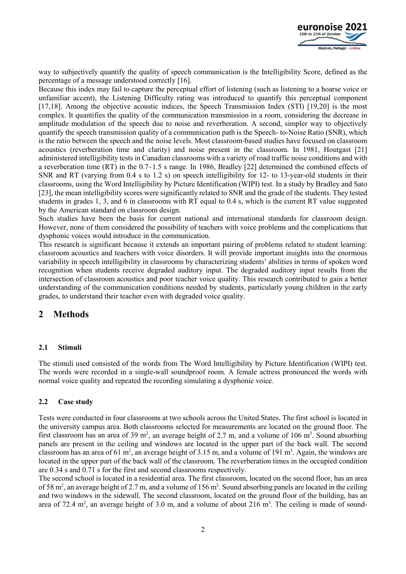

way to subjectively quantify the quality of speech communication is the Intelligibility Score, defined as the percentage of a message understood correctly [16].

Because this index may fail to capture the perceptual effort of listening (such as listening to a hoarse voice or unfamiliar accent), the Listening Difficulty rating was introduced to quantify this perceptual component [17,18]. Among the objective acoustic indices, the Speech Transmission Index (STI) [19,20] is the most complex. It quantifies the quality of the communication transmission in a room, considering the decrease in amplitude modulation of the speech due to noise and reverberation. A second, simpler way to objectively quantify the speech transmission quality of a communication path is the Speech- to-Noise Ratio (SNR), which is the ratio between the speech and the noise levels. Most classroom-based studies have focused on classroom acoustics (reverberation time and clarity) and noise present in the classroom. In 1981, Houtgast [21] administered intelligibility tests in Canadian classrooms with a variety of road traffic noise conditions and with a reverberation time (RT) in the 0.7–1.5 s range. In 1986, Bradley [22] determined the combined effects of SNR and RT (varying from 0.4 s to 1.2 s) on speech intelligibility for 12- to 13-year-old students in their classrooms, using the Word Intelligibility by Picture Identification (WIPI) test. In a study by Bradley and Sato [23], the mean intelligibility scores were significantly related to SNR and the grade of the students. They tested students in grades 1, 3, and 6 in classrooms with RT equal to 0.4 s, which is the current RT value suggested by the American standard on classroom design.

Such studies have been the basis for current national and international standards for classroom design. However, none of them considered the possibility of teachers with voice problems and the complications that dysphonic voices would introduce in the communication.

This research is significant because it extends an important pairing of problems related to student learning: classroom acoustics and teachers with voice disorders. It will provide important insights into the enormous variability in speech intelligibility in classrooms by characterizing students' abilities in terms of spoken word recognition when students receive degraded auditory input. The degraded auditory input results from the intersection of classroom acoustics and poor teacher voice quality. This research contributed to gain a better understanding of the communication conditions needed by students, particularly young children in the early grades, to understand their teacher even with degraded voice quality.

## **2 Methods**

#### **2.1 Stimuli**

The stimuli used consisted of the words from The Word Intelligibility by Picture Identification (WIPI) test. The words were recorded in a single-wall soundproof room. A female actress pronounced the words with normal voice quality and repeated the recording simulating a dysphonic voice.

#### **2.2 Case study**

Tests were conducted in four classrooms at two schools across the United States. The first school is located in the university campus area. Both classrooms selected for measurements are located on the ground floor. The first classroom has an area of 39 m<sup>2</sup>, an average height of 2.7 m, and a volume of 106 m<sup>3</sup>. Sound absorbing panels are present in the ceiling and windows are located in the upper part of the back wall. The second classroom has an area of 61 m<sup>2</sup>, an average height of 3.15 m, and a volume of 191 m<sup>3</sup>. Again, the windows are located in the upper part of the back wall of the classroom. The reverberation times in the occupied condition are 0.34 s and 0.71 s for the first and second classrooms respectively.

The second school is located in a residential area. The first classroom, located on the second floor, has an area of 58 m<sup>2</sup>, an average height of 2.7 m, and a volume of 156 m<sup>3</sup>. Sound absorbing panels are located in the ceiling and two windows in the sidewall. The second classroom, located on the ground floor of the building, has an area of 72.4 m<sup>2</sup>, an average height of 3.0 m, and a volume of about 216 m<sup>3</sup>. The ceiling is made of sound-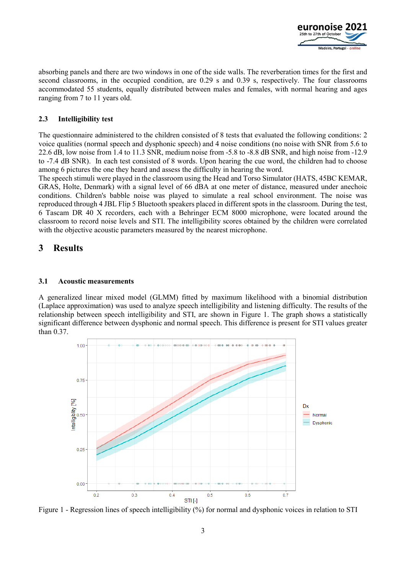

absorbing panels and there are two windows in one of the side walls. The reverberation times for the first and second classrooms, in the occupied condition, are 0.29 s and 0.39 s, respectively. The four classrooms accommodated 55 students, equally distributed between males and females, with normal hearing and ages ranging from 7 to 11 years old.

#### **2.3 Intelligibility test**

The questionnaire administered to the children consisted of 8 tests that evaluated the following conditions: 2 voice qualities (normal speech and dysphonic speech) and 4 noise conditions (no noise with SNR from 5.6 to 22.6 dB, low noise from 1.4 to 11.3 SNR, medium noise from -5.8 to -8.8 dB SNR, and high noise from -12.9 to -7.4 dB SNR). In each test consisted of 8 words. Upon hearing the cue word, the children had to choose among 6 pictures the one they heard and assess the difficulty in hearing the word.

The speech stimuli were played in the classroom using the Head and Torso Simulator (HATS, 45BC KEMAR, GRAS, Holte, Denmark) with a signal level of 66 dBA at one meter of distance, measured under anechoic conditions. Children's babble noise was played to simulate a real school environment. The noise was reproduced through 4 JBL Flip 5 Bluetooth speakers placed in different spots in the classroom. During the test, 6 Tascam DR 40 X recorders, each with a Behringer ECM 8000 microphone, were located around the classroom to record noise levels and STI. The intelligibility scores obtained by the children were correlated with the objective acoustic parameters measured by the nearest microphone.

## **3 Results**

#### **3.1 Acoustic measurements**

A generalized linear mixed model (GLMM) fitted by maximum likelihood with a binomial distribution (Laplace approximation) was used to analyze speech intelligibility and listening difficulty. The results of the relationship between speech intelligibility and STI, are shown in Figure 1. The graph shows a statistically significant difference between dysphonic and normal speech. This difference is present for STI values greater than 0.37.



Figure 1 - Regression lines of speech intelligibility (%) for normal and dysphonic voices in relation to STI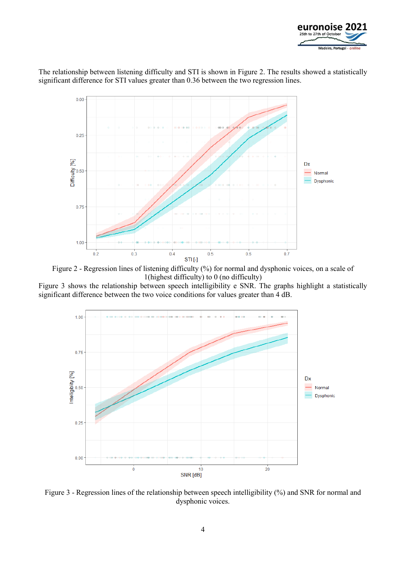

The relationship between listening difficulty and STI is shown in Figure 2. The results showed a statistically significant difference for STI values greater than 0.36 between the two regression lines.



Figure 2 - Regression lines of listening difficulty (%) for normal and dysphonic voices, on a scale of 1(highest difficulty) to 0 (no difficulty)

Figure 3 shows the relationship between speech intelligibility e SNR. The graphs highlight a statistically significant difference between the two voice conditions for values greater than 4 dB.



Figure 3 - Regression lines of the relationship between speech intelligibility (%) and SNR for normal and dysphonic voices.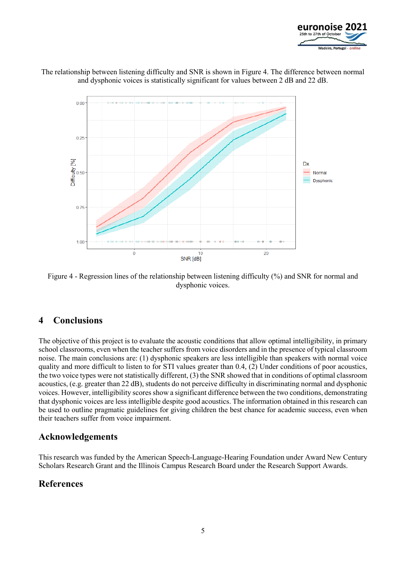





Figure 4 - Regression lines of the relationship between listening difficulty (%) and SNR for normal and dysphonic voices.

## **4 Conclusions**

The objective of this project is to evaluate the acoustic conditions that allow optimal intelligibility, in primary school classrooms, even when the teacher suffers from voice disorders and in the presence of typical classroom noise. The main conclusions are: (1) dysphonic speakers are less intelligible than speakers with normal voice quality and more difficult to listen to for STI values greater than 0.4, (2) Under conditions of poor acoustics, the two voice types were not statistically different, (3) the SNR showed that in conditions of optimal classroom acoustics, (e.g. greater than 22 dB), students do not perceive difficulty in discriminating normal and dysphonic voices. However, intelligibility scores show a significant difference between the two conditions, demonstrating that dysphonic voices are less intelligible despite good acoustics. The information obtained in this research can be used to outline pragmatic guidelines for giving children the best chance for academic success, even when their teachers suffer from voice impairment.

## **Acknowledgements**

This research was funded by the American Speech-Language-Hearing Foundation under Award New Century Scholars Research Grant and the Illinois Campus Research Board under the Research Support Awards.

## **References**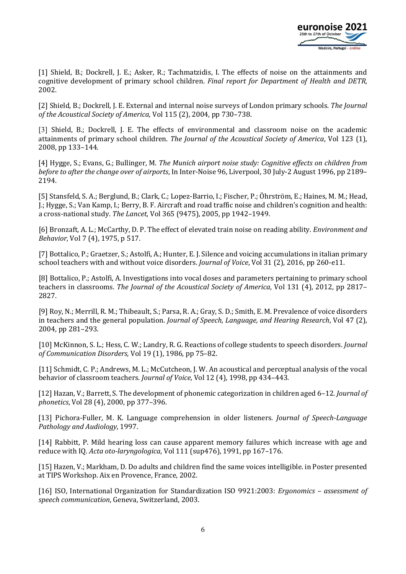

[1] Shield, B.; Dockrell, J. E.; Asker, R.; Tachmatzidis, I. The effects of noise on the attainments and cognitive development of primary school children. *Final report for Department of Health and DETR*, 2002.

[2] Shield, B.; Dockrell, J. E. External and internal noise surveys of London primary schools. *The Journal of the Acoustical Society of America*, Vol 115 (2), 2004, pp 730–738.

[3] Shield, B.; Dockrell, J. E. The effects of environmental and classroom noise on the academic attainments of primary school children. *The Journal of the Acoustical Society of America*, Vol 123 (1), 2008, pp 133–144.

[4] Hygge, S.; Evans, G.; Bullinger, M. *The Munich airport noise study: Cognitive effects on children from before to after the change over of airports*, In Inter-Noise 96, Liverpool, 30 July-2 August 1996, pp 2189– 2194.

[5] Stansfeld, S. A.; Berglund, B.; Clark, C.; Lopez-Barrio, I.; Fischer, P.; O�hrström, E.; Haines, M. M.; Head, J.; Hygge, S.; Van Kamp, I.; Berry, B. F. Aircraft and road traffic noise and children's cognition and health: a cross-national study. *The Lancet*, Vol 365 (9475), 2005, pp 1942–1949.

[6] Bronzaft, A. L.; McCarthy, D. P. The effect of elevated train noise on reading ability. *Environment and Behavior*, Vol 7 (4), 1975, p 517.

[7] Bottalico, P.; Graetzer, S.; Astolfi, A.; Hunter, E. J. Silence and voicing accumulations in italian primary school teachers with and without voice disorders. *Journal of Voice*, Vol 31 (2), 2016, pp 260-e11.

[8] Bottalico, P.; Astolfi, A. Investigations into vocal doses and parameters pertaining to primary school teachers in classrooms. *The Journal of the Acoustical Society of America*, Vol 131 (4), 2012, pp 2817– 2827.

[9] Roy, N.; Merrill, R. M.; Thibeault, S.; Parsa, R. A.; Gray, S. D.; Smith, E. M. Prevalence of voice disorders in teachers and the general population. *Journal of Speech, Language, and Hearing Research*, Vol 47 (2), 2004, pp 281–293.

[10] McKinnon, S. L.; Hess, C. W.; Landry, R. G. Reactions of college students to speech disorders. *Journal of Communication Disorders*, Vol 19 (1), 1986, pp 75–82.

[11] Schmidt, C. P.; Andrews, M. L.; McCutcheon, J. W. An acoustical and perceptual analysis of the vocal behavior of classroom teachers. *Journal of Voice*, Vol 12 (4), 1998, pp 434–443.

[12] Hazan, V.; Barrett, S. The development of phonemic categorization in children aged 6–12. *Journal of phonetics*, Vol 28 (4), 2000, pp 377–396.

[13] Pichora-Fuller, M. K. Language comprehension in older listeners. *Journal of Speech-Language Pathology and Audiology*, 1997.

[14] Rabbitt, P. Mild hearing loss can cause apparent memory failures which increase with age and reduce with IQ. *Acta oto-laryngologica*, Vol 111 (sup476), 1991, pp 167–176.

[15] Hazen, V.; Markham, D. Do adults and children find the same voices intelligible. in Poster presented at TIPS Workshop. Aix en Provence, France, 2002.

[16] ISO, International Organization for Standardization ISO 9921:2003: *Ergonomics – assessment of speech communication*, Geneva, Switzerland, 2003.